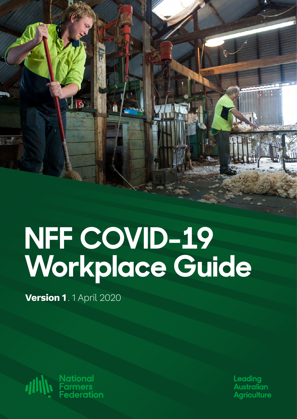

# **NFF COVID-19 Workplace Guide**

**Version 1** . 1 April 2020

**National<br>Farmers<br>Federation** *dilly* 

Leadina **Australian Agriculture**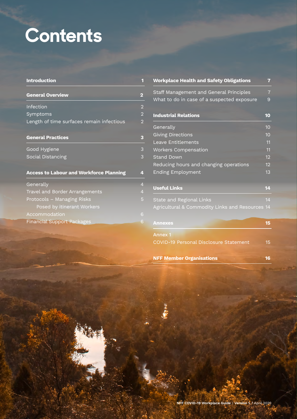# **Contents**

| <b>Introduction</b>                            | 1                       |
|------------------------------------------------|-------------------------|
| <b>General Overview</b>                        | $\overline{\mathbf{2}}$ |
| Infection                                      | $\overline{2}$          |
| Symptoms                                       | $\overline{a}$          |
| Length of time surfaces remain infectious      | $\overline{2}$          |
|                                                |                         |
| <b>General Practices</b>                       | 3                       |
| Good Hygiene                                   | 3                       |
| Social Distancing                              | 3                       |
| <b>Access to Labour and Workforce Planning</b> | 4                       |
| Generally                                      | $\overline{4}$          |
| Travel and Border Arrangements                 | $\overline{4}$          |
| Protocols – Managing Risks                     | 5                       |
| Posed by itinerant Workers                     |                         |
| Accommodation                                  | 6                       |
| <b>Financial Support Packages</b>              | 6                       |

| <b>Workplace Health and Safety Obligations</b>  | 7              |
|-------------------------------------------------|----------------|
| Staff Management and General Principles         | $\overline{7}$ |
| What to do in case of a suspected exposure      | 9              |
| <b>Industrial Relations</b>                     | 10             |
| Generally                                       | 10             |
| <b>Giving Directions</b>                        | 10             |
| Leave Entitlements                              | 11             |
| <b>Workers Compensation</b>                     | 11             |
| <b>Stand Down</b>                               | 12             |
| Reducing hours and changing operations          | 12             |
| <b>Ending Employment</b>                        | 13             |
| <b>Useful Links</b>                             | 14             |
| State and Regional Links                        | 14             |
| Agricultural & Commodity Links and Resources 14 |                |
| <b>Annexes</b>                                  | 15             |
| Annex <sub>1</sub>                              |                |
| <b>COVID-19 Personal Disclosure Statement</b>   | 15             |
| <b>NFF Member Organisations</b>                 | 16             |

**Control** 

**NFF COVID-19 Workplace Guide** / **Version 1.** 1 April 2020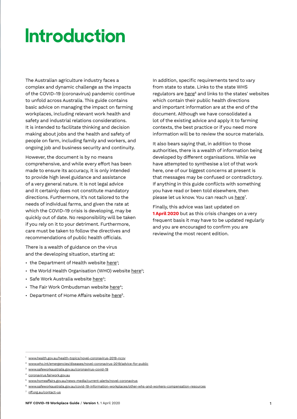### **Introduction**

The Australian agriculture industry faces a complex and dynamic challenge as the impacts of the COVID-19 (coronavirus) pandemic continue to unfold across Australia. This guide contains basic advice on managing the impact on farming workplaces, including relevant work health and safety and industrial relations considerations. It is intended to facilitate thinking and decision making about jobs and the health and safety of people on farm, including family and workers, and ongoing job and business security and continuity.

However, the document is by no means comprehensive, and while every effort has been made to ensure its accuracy, it is only intended to provide high level guidance and assistance of a very general nature. It is not legal advice and it certainly does not constitute mandatory directions. Furthermore, it's not tailored to the needs of individual farms, and given the rate at which the COVID-19 crisis is developing, may be quickly out of date. No responsibility will be taken if you rely on it to your detriment. Furthermore, care must be taken to follow the directives and recommendations of public health officials.

There is a wealth of guidance on the virus and the developing situation, starting at:

- the Department of Health website <u>here</u>';
- the World Health Organisation (WHO) website <u>here</u>?;
- Safe Work Australia website <u>here</u>3;
- $\cdot$  The Fair Work Ombudsman website [here](https://coronavirus.fairwork.gov.au/)<sup>4</sup>;
- Department of Home Affairs website <u>here</u><sup>5</sup>.

In addition, specific requirements tend to vary from state to state. Links to the state WHS regulators are [here](https://www.safeworkaustralia.gov.au/covid-19-information-workplaces/other-whs-and-workers-compensation-resources)<sup>6</sup> and links to the states' websites which contain their public health directions and important information are at the end of the document. Although we have consolidated a lot of the existing advice and apply it to farming contexts, the best practice or if you need more information will be to review the source materials.

It also bears saying that, in addition to those authorities, there is a wealth of information being developed by different organisations. While we have attempted to synthesise a lot of that work here, one of our biggest concerns at present is that messages may be confused or contradictory. If anything in this guide conflicts with something you have read or been told elsewhere, then please let us know. You can reach us [here](nff.org.au/contact-us/)<sup>7</sup>.

Finally, this advice was last updated on **1 April 2020** but as this crisis changes on a very frequent basis it may have to be updated regularly and you are encouraged to confirm you are reviewing the most recent edition.

<sup>1</sup> <www.health.gov.au/health-topics/novel-coronavirus-2019-ncov>

<sup>2</sup> <www.who.int/emergencies/diseases/novel-coronavirus-2019/advice-for-public>

<sup>3</sup> <www.safeworkaustralia.gov.au/coronavirus-covid-19>

<sup>4</sup> [coronavirus.fairwork.gov.a](https://coronavirus.fairwork.gov.au/)u

<sup>5</sup> <www.homeaffairs.gov.au/news-media/current-alerts/novel-coronavirus>

<sup>6</sup> <www.safeworkaustralia.gov.au/covid-19-information-workplaces/other-whs-and-workers-compensation-resources>

<sup>7</sup> [nff.org.au/contact-us](nff.org.au/contact-us/)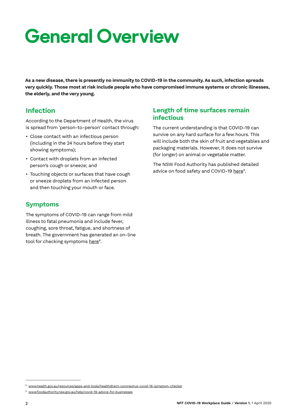# **General Overview**

**As a new disease, there is presently no immunity to COVID-19 in the community. As such, infection spreads very quickly. Those most at risk include people who have compromised immune systems or chronic illnesses, the elderly, and the very young.**

#### **Infection**

According to the Department of Health, the virus is spread from 'person-to-person' contact through:

- Close contact with an infectious person (including in the 24 hours before they start showing symptoms);
- Contact with droplets from an infected person's cough or sneeze; and
- Touching objects or surfaces that have cough or sneeze droplets from an infected person and then touching your mouth or face.

#### **Symptoms**

The symptoms of COVID-19 can range from mild illness to fatal pneumonia and include fever, coughing, sore throat, fatigue, and shortness of breath. The government has generated an on-line tool for checking symptoms [here](https://www.health.gov.au/resources/apps-and-tools/healthdirect-coronavirus-covid-19-symptom-checker)<sup>8</sup>.

#### **Length of time surfaces remain infectious**

The current understanding is that COVID-19 can survive on any hard surface for a few hours. This will include both the skin of fruit and vegetables and packaging materials. However, it does not survive (for longer) on animal or vegetable matter.

The NSW Food Authority has published detailed advice on food safety and COVID-19 here<sup>9</sup>.

<sup>&</sup>lt;sup>8</sup> <www.health.gov.au/resources/apps-and-tools/healthdirect-coronavirus-covid-19-symptom-checker>

<sup>9</sup> <www.foodauthority.nsw.gov.au/help/covid-19-advice-for-businesses>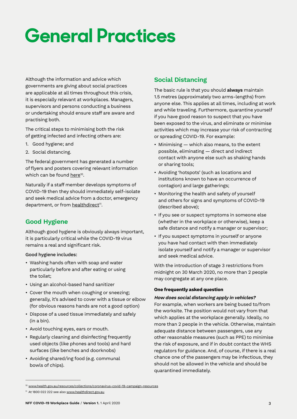# **General Practices**

Although the information and advice which governments are giving about social practices are applicable at all times throughout this crisis, it is especially relevant at workplaces. Managers, supervisors and persons conducting a business or undertaking should ensure staff are aware and practising both.

The critical steps to minimising both the risk of getting infected and infecting others are:

- 1. Good hygiene; and
- 2. Social distancing.

The federal government has generated a number of flyers and posters covering relevant information which can be found [here](https://www.health.gov.au/resources/collections/coronavirus-covid-19-campaign-resources)<sup>10</sup>.

Naturally if a staff member develops symptoms of COVID-19 then they should immediately self-isolate and seek medical advice from a doctor, emergency department, or from healthdirect<sup>11</sup>.

#### **Good Hygiene**

Although good hygiene is obviously always important, it is particularly critical while the COVID-19 virus remains a real and significant risk.

#### Good hygiene includes:

- Washing hands often with soap and water particularly before and after eating or using the toilet;
- Using an alcohol-based hand sanitizer
- Cover the mouth when coughing or sneezing; generally, it's advised to cover with a tissue or elbow (for obvious reasons hands are not a good option)
- Dispose of a used tissue immediately and safely (in a bin).
- Avoid touching eyes, ears or mouth.
- Regularly cleaning and disinfecting frequently used objects (like phones and tools) and hard surfaces (like benches and doorknobs)
- Avoiding shared/ing food (e.g. communal bowls of chips).

#### **Social Distancing**

The basic rule is that you should **always** maintain 1.5 metres (approximately two arms-lengths) from anyone else. This applies at all times, including at work and while traveling. Furthermore, quarantine yourself if you have good reason to suspect that you have been exposed to the virus, and eliminate or minimise activities which may increase your risk of contracting or spreading COVID-19. For example:

- Minimising which also means, to the extent possible, eliminating — direct and indirect contact with anyone else such as shaking hands or sharing tools;
- Avoiding 'hotspots' (such as locations and institutions known to have an occurrence of contagion) and large gatherings;
- Monitoring the health and safety of yourself and others for signs and symptoms of COVID-19 (described above);
- If you see or suspect symptoms in someone else (whether in the workplace or otherwise), keep a safe distance and notify a manager or supervisor;
- If you suspect symptoms in yourself or anyone you have had contact with then immediately isolate yourself and notify a manager or supervisor and seek medical advice.

With the introduction of stage 3 restrictions from midnight on 30 March 2020, no more than 2 people may congregate at any one place.

#### **One frequently asked question**

#### **How does social distancing apply in vehicles?**

For example, when workers are being bused to/from the worksite. The position would not vary from that which applies at the workplace generally. Ideally, no more than 2 people in the vehicle. Otherwise, maintain adequate distance between passengers, use any other reasonable measures (such as PPE) to minimise the risk of exposure, and if in doubt contact the WHS regulators for guidance. And, of course, if there is a real chance one of the passengers may be infectious, they should not be allowed in the vehicle and should be quarantined immediately.

<sup>10</sup> [www.health.gov.au/resources/collections/coronavirus-covid-19-campaign-resources](https://www.healthdirect.gov.au/)

<sup>&</sup>lt;sup>11</sup> [At 1800 022 222 see also www.healthdirect.gov.au](https://www.healthdirect.gov.au/)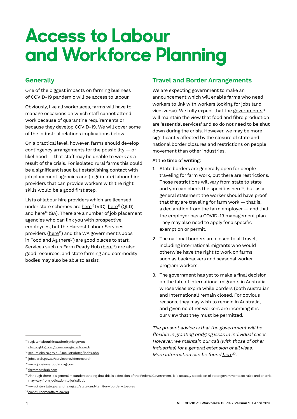### **Access to Labour and Workforce Planning**

#### **Generally**

One of the biggest impacts on farming business of COVID-19 pandemic will be access to labour.

Obviously, like all workplaces, farms will have to manage occasions on which staff cannot attend work because of quarantine requirements or because they develop COVID-19. We will cover some of the industrial relations implications below.

On a practical level, however, farms should develop contingency arrangements for the possibility — or likelihood — that staff may be unable to work as a result of the crisis. For isolated rural farms this could be a significant issue but establishing contact with job placement agencies and (legitimate) labour hire providers that can provide workers with the right skills would be a good first step.

Lists of labour hire providers which are licensed under state schemes are [here](https://ols.oir.qld.gov.au/licence-register/search/)<sup>12</sup> (VIC), here<sup>13</sup> (OLD), and  $here<sup>14</sup>$  (SA). There are a number of job placement agencies who can link you with prospective employees, but the Harvest Labour Services providers (here<sup>15</sup>) and the WA government's Jobs in Food and Ag ( $here<sup>16</sup>$ ) are good places to start. Services such as Farm Ready Hub (here<sup>17</sup>) are also good resources, and state farming and commodity bodies may also be able to assist.

#### **Travel and Border Arrangements**

We are expecting government to make an announcement which will enable farms who need workers to link with workers looking for jobs (and vice-versa). We fully expect that the [governments](https://www.interstatequarantine.org.au/state-and-territory-border-closures/)<sup>18</sup> will maintain the view that food and fibre production are 'essential services' and so do not need to be shut down during the crisis. However, we may be more significantly affected by the closure of state and national border closures and restrictions on people movement than other industries.

#### At the time of writing:

- 1. State borders are generally open for people traveling for farm work, but there are restrictions. Those restrictions will vary from state to state and you can check the specifics [here](https://www.interstatequarantine.org.au/state-and-territory-border-closures/)<sup>19</sup>, but as a general statement the worker should have proof that they are traveling for farm work — that is, a declaration from the farm employer — and that the employer has a COVID-19 management plan. They may also need to apply for a specific exemption or permit.
- 2. The national borders are closed to all travel, including international migrants who would otherwise have the right to work on farms such as backpackers and seasonal worker program workers.
- 3. The government has yet to make a final decision on the fate of international migrants in Australia whose visas expire while borders (both Australian and International) remain closed. For obvious reasons, they may wish to remain in Australia, and given no other workers are incoming it is our view that they must be permitted.

The present advice is that the government will be flexible in granting bridging visas in individual cases. However, we maintain our call (with those of other industries) for a general extension of all visas. More information can be found [here](https://covid19.homeaffairs.gov.au/) $20$ .

- <sup>13</sup> [ols.oir.qld.gov.au/licence-register/search](https://ols.oir.qld.gov.au/licence-register/search/)
- <sup>14</sup> [secure.cbs.sa.gov.au/OccLicPubReg/index.php](https://secure.cbs.sa.gov.au/OccLicPubReg/index.php)
- <sup>15</sup> [jobsearch.gov.au/serviceproviders/search](https://jobsearch.gov.au/serviceproviders/search?ProviderType=HLS5&ExactWord=false)

<sup>12</sup> [register.labourhireauthority.vic.gov.au](https://register.labourhireauthority.vic.gov.au/LhSearch/PerformSearch?TotalCount=0&Page=1&PageSize=20&SearchResultsVM=System.Collections.Generic.List%601%5BCav.Gem.PublicRegisterSearch.DomainEntities.LhSearchResult%5D&SearchBy=Name&SoundsLike=False#_ga=2.25242293.92400721.1585454446-571499659.1585454446)

<sup>16</sup> [www.jobsinwafoodandag.com](https://www.jobsinwafoodandag.com/)

<sup>17</sup> [farmreadyhub.com](https://farmreadyhub.com/)

<sup>&</sup>lt;sup>18</sup> Although there is a general misunderstanding that this is a decision of the Federal Government, it is actually a decision of state governments so rules and criteria may vary from judication to jurisdiction

<sup>&</sup>lt;sup>19</sup> [www.interstatequarantine.org.au/state-and-territory-border-closures](https://www.interstatequarantine.org.au/state-and-territory-border-closures/)

<sup>20</sup> [covid19.homeaffairs.gov.au](https://covid19.homeaffairs.gov.au/)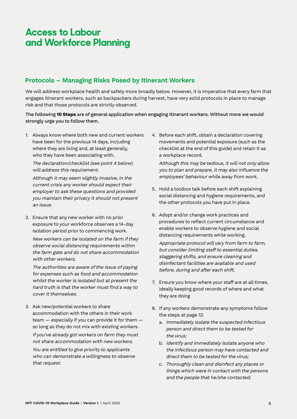### **Access to Labour and Workforce Planning**

#### **Protocols – Managing Risks Posed by Itinerant Workers**

We will address workplace health and safety more broadly below. However, it is imperative that every farm that engages itinerant workers, such as backpackers during harvest, have very solid protocols in place to manage risk and that those protocols are strictly observed.

The following **10 Steps** are of general application when engaging Itinerant workers. Without more we would strongly urge you to follow them.

1. Always know where both new and current workers have been for the previous 14 days, including where they are living and, at least generally, who they have been associating with.

The declaration/checklist (see point 4 below) will address this requirement.

Although it may seem slightly invasive, in the current crisis any worker should expect their employer to ask these questions and provided you maintain their privacy it should not present an issue.

2. Ensure that any new worker with no prior exposure to your workforce observes a 14-day isolation period prior to commencing work.

New workers can be isolated on the farm if they observe social distancing requirements within the farm gate and do not share accommodation with other workers.

The authorities are aware of the issue of paying for expenses such as food and accommodation whilst the worker is isolated but at present the hard truth is that the worker must find a way to cover it themselves.

3. Ask new/potential workers to share accommodation with the others in their work team — especially if you can provide it for them so long as they do not mix with existing workers.

If you've already got workers on farm they must not share accommodation with new workers. You are entitled to give priority to applicants who can demonstrate a willingness to observe that request.

4. Before each shift, obtain a declaration covering movements and potential exposure (such as the checklist at the end of this guide) and retain it as a workplace record.

Although this may be tedious, it will not only allow you to plan and prepare, it may also influence the employees' behaviour while away from work.

- 5. Hold a toolbox talk before each shift explaining social distancing and hygiene requirements, and the other protocols you have put in place.
- 6. Adopt and/or change work practices and procedures to reflect current circumstance and enable workers to observe hygiene and social distancing requirements while working.

Appropriate protocol will vary from farm to farm, but consider limiting staff to essential duties, staggering shifts, and ensure cleaning and disinfectant facilities are available and used before, during and after each shift.

- 7. Ensure you know where your staff are at all times, ideally keeping good records of where and what they are doing
- 8. If any workers demonstrate any symptoms follow the steps at page 12:
	- a. Immediately isolate the suspected infectious person and direct them to be tested for the virus;
	- b. Identify and immediately isolate anyone who the infectious person may have contacted and direct them to be tested for the virus;
	- c. Thoroughly clean and disinfect any places or things which were in contact with the persons and the people that he/she contacted;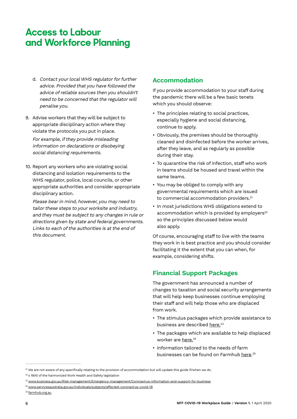### **Access to Labour and Workforce Planning**

- d. Contact your local WHS regulator for further advice. Provided that you have followed the advice of reliable sources then you shouldn't need to be concerned that the regulator will penalise you.
- 9. Advise workers that they will be subject to appropriate disciplinary action where they violate the protocols you put in place.

For example, if they provide misleading information on declarations or disobeying social distancing requirements.

10. Report any workers who are violating social distancing and isolation requirements to the WHS regulator, police, local councils, or other appropriate authorities and consider appropriate disciplinary action.

Please bear in mind, however, you may need to tailor these steps to your worksite and industry, and they must be subject to any changes in rule or directions given by state and federal governments. Links to each of the authorities is at the end of this document.

#### **Accommodation**

If you provide accommodation to your staff during the pandemic there will be a few basic tenets which you should observe:

- The principles relating to social practices, especially hygiene and social distancing, continue to apply.
- Obviously, the premises should be thoroughly cleaned and disinfected before the worker arrives, after they leave, and as regularly as possible during their stay.
- To quarantine the risk of infection, staff who work in teams should be housed and travel within the same teams.
- You may be obliged to comply with any governmental requirements which are issued to commercial accommodation providers.<sup>21</sup>
- In most jurisdictions WHS obligations extend to accommodation which is provided by employers<sup>22</sup> so the principles discussed below would also apply.

Of course, encouraging staff to live with the teams they work in is best practice and you should consider facilitating it the extent that you can when, for example, considering shifts.

#### **Financial Support Packages**

The government has announced a number of changes to taxation and social security arrangements that will help keep businesses continue employing their staff and will help those who are displaced from work.

- The stimulus packages which provide assistance to business are described <u>here.</u><sup>23</sup>
- The packages which are available to help displaced worker are [here.](https://www.servicesaustralia.gov.au/individuals/subjects/affected-coronavirus-covid-19)<sup>24</sup>
- Information tailored to the needs of farm businesses can be found on Farmhub <u>here</u>.<sup>25</sup>

<sup>21</sup> We are not aware of any specifically relating to the provision of accommodation but will update this guide if/when we do.  $22$  s 19(4) of the harmonized Work Health and Safety legislation

<sup>23</sup> [www.business.gov.au/Risk-management/Emergency-management/Coronavirus-information-and-support-for-business](https://www.business.gov.au/Risk-management/Emergency-management/Coronavirus-information-and-support-for-business)

<sup>24</sup> [www.servicesaustralia.gov.au/individuals/subjects/affected-coronavirus-covid-19](https://www.servicesaustralia.gov.au/individuals/subjects/affected-coronavirus-covid-19)

<sup>&</sup>lt;sup>25</sup> [farmhub.org.au](https://farmhub.org.au/)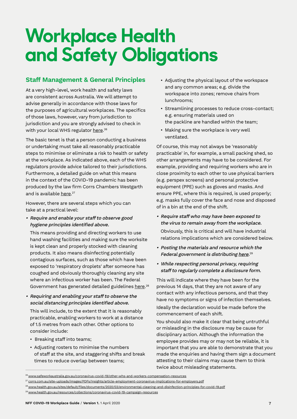### **Workplace Health and Safety Obligations**

#### **Staff Management & General Principles**

At a very high-level, work health and safety laws are consistent across Australia. We will attempt to advise generally in accordance with those laws for the purposes of agricultural workplaces. The specifics of those laws, however, vary from jurisdiction to jurisdiction and you are strongly advised to check in with your local WHS regulator <u>here</u>.<sup>26</sup>

The basic tenet is that a person conducting a business or undertaking must take all reasonably practicable steps to minimise or eliminate a risk to health or safety at the workplace. As indicated above, each of the WHS regulators provide advice tailored to their jurisdictions. Furthermore, a detailed guide on what this means in the context of the COVID-19 pandemic has been produced by the law firm Corrs Chambers Westgarth and is available <u>here</u>.<sup>27</sup>

However, there are several steps which you can take at a practical level:

• Require and enable your staff to observe good hygiene principles identified above.

This means providing and directing workers to use hand washing facilities and making sure the worksite is kept clean and properly stocked with cleaning products. It also means disinfecting potentially contagious surfaces, such as those which have been exposed to 'respiratory droplets' after someone has coughed and obviously thoroughly cleaning any site where an infectious worker has been. The Federal Government has generated detailed guidelines <u>here</u>.<sup>28</sup>

• Requiring and enabling your staff to observe the social distancing principles identified above.

This will include, to the extent that it is reasonably practicable, enabling workers to work at a distance of 1.5 metres from each other. Other options to consider include:

- Breaking staff into teams;
- Adjusting rosters to minimise the numbers of staff at the site, and staggering shifts and break times to reduce overlap between teams;
- Adjusting the physical layout of the workspace and any common areas; e.g. divide the workspace into zones; remove chairs from lunchrooms;
- Streamlining processes to reduce cross-contact; e.g. ensuring materials used on the packline are handled within the team;
- Making sure the workplace is very well ventilated.

Of course, this may not always be 'reasonably practicable' in, for example, a small packing shed, so other arrangements may have to be considered. For example, providing and requiring workers who are in close proximity to each other to use physical barriers (e.g. perspex screens) and personal protective equipment (PPE) such as gloves and masks. And ensure PPE, where this is required, is used properly; e.g. masks fully cover the face and nose and disposed of in a bin at the end of the shift.

- Require staff who may have been exposed to the virus to remain away from the workplace. Obviously, this is critical and will have industrial relations implications which are considered below.
- Posting the materials and resource which the Federal government is distributing <u>here</u>.<sup>29</sup>
- While respecting personal privacy, requiring staff to regularly complete a disclosure form.

This will indicate where they have been for the previous 14 days, that they are not aware of any contact with any infectious persons, and that they have no symptoms or signs of infection themselves. Ideally the declaration would be made before the commencement of each shift.

You should also make it clear that being untruthful or misleading in the disclosure may be cause for disciplinary action. Although the information the employee provides may or may not be reliable, it is important that you are able to demonstrate that you made the enquiries and having them sign a document attesting to their claims may cause them to think twice about misleading statements.

<sup>&</sup>lt;sup>26</sup> [www.safeworkaustralia.gov.au/coronavirus-covid-19/other-whs-and-workers-compensation-resources](https://www.safeworkaustralia.gov.au/coronavirus-covid-19/other-whs-and-workers-compensation-resources)

<sup>27</sup> [corrs.com.au/site-uploads/images/PDFs/Insights/article-employment-coronavirus-implications-for-employers.pdf](https://corrs.com.au/site-uploads/images/PDFs/Insights/article-employment-coronavirus-implications-for-employers.pdf)

<sup>28</sup>[www.health.gov.au/sites/default/files/documents/2020/03/environmental-cleaning-and-disinfection-principles-for-covid-19.pdf](https://www.health.gov.au/sites/default/files/documents/2020/03/environmental-cleaning-and-disinfection-principles-for-covid-19.pdf)

<sup>&</sup>lt;sup>29</sup> [www.health.gov.au/resources/collections/coronavirus-covid-19-campaign-resources](https://www.health.gov.au/resources/collections/coronavirus-covid-19-campaign-resources)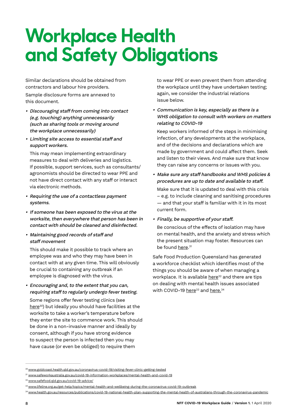## **Workplace Health and Safety Obligations**

Similar declarations should be obtained from contractors and labour hire providers.

Sample disclosure forms are annexed to this document.

- Discouraging staff from coming into contact (e.g. touching) anything unnecessarily (such as sharing tools or moving around the workplace unnecessarily)
- Limiting site access to essential staff and support workers.

This may mean implementing extraordinary measures to deal with deliveries and logistics. If possible, support services, such as consultants/ agronomists should be directed to wear PPE and not have direct contact with any staff or interact via electronic methods.

- Requiring the use of a contactless payment systems.
- If someone has been exposed to the virus at the worksite, then everywhere that person has been in contact with should be cleaned and disinfected.
- Maintaining good records of staff and staff movement

This should make it possible to track where an employee was and who they may have been in contact with at any given time. This will obviously be crucial to containing any outbreak if an employee is diagnosed with the virus.

• Encouraging and, to the extent that you can, requiring staff to regularly undergo fever testing.

Some regions offer fever testing clinics (see [here](https://www.goldcoast.health.qld.gov.au/coronavirus-covid-19/visiting-fever-clinic-getting-tested)<sup>30</sup>) but ideally you should have facilities at the worksite to take a worker's temperature before they enter the site to commence work. This should be done in a non-invasive manner and ideally by consent, although if you have strong evidence to suspect the person is infected then you may have cause (or even be obliged) to require them

to wear PPE or even prevent them from attending the workplace until they have undertaken testing; again, we consider the industrial relations issue below.

• Communication is key, especially as there is a WHS obligation to consult with workers on matters relating to COVID-19

Keep workers informed of the steps in minimising infection, of any developments at the workplace, and of the decisions and declarations which are made by government and could affect them. Seek and listen to their views. And make sure that know they can raise any concerns or issues with you.

• Make sure any staff handbooks and WHS policies & procedures are up to date and available to staff.

Make sure that it is updated to deal with this crisis – e.g. to include cleaning and sanitising procedures — and that your staff is familiar with it in its most current form.

• Finally, be supportive of your staff.

Be conscious of the effects of isolation may have on mental health, and the anxiety and stress which the present situation may foster. Resources can be found <u>here</u>.<sup>31</sup>

Safe Food Production Queensland has generated a workforce checklist which identifies most of the things you should be aware of when managing a workplace. It is available here<sup>32</sup> and there are tips on dealing with mental health issues associated with COVID-19  $here<sup>33</sup>$  and  $here<sup>34</sup>$ </u></u>

<sup>&</sup>lt;sup>30</sup> [www.goldcoast.health.qld.gov.au/coronavirus-covid-19/visiting-fever-clinic-getting-tested](https://www.goldcoast.health.qld.gov.au/coronavirus-covid-19/visiting-fever-clinic-getting-tested)

<sup>31</sup> [www.safeworkaustralia.gov.au/covid-19-information-workplaces/mental-health-and-covid-19](https://www.safeworkaustralia.gov.au/covid-19-information-workplaces/mental-health-and-covid-19)

<sup>32</sup> [www.safefood.qld.gov.au/covid-19-advice/](https://www.safefood.qld.gov.au/covid-19-advice/)

<sup>33</sup> [www.lifeline.org.au/get-help/topics/mental-health-and-wellbeing-during-the-coronavirus-covid-19-outbreak](https://www.lifeline.org.au/get-help/topics/mental-health-and-wellbeing-during-the-coronavirus-covid-19-outbreak)

<sup>34</sup>[www.health.gov.au/resources/publications/covid-19-national-health-plan-supporting-the-mental-health-of-australians-through-the-coronavirus-pandemic](https://www.health.gov.au/resources/publications/covid-19-national-health-plan-supporting-the-mental-health-of-australians-through-the-coronavirus-pandemic)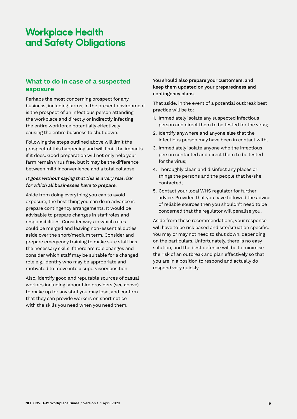### **Workplace Health and Safety Obligations**

#### **What to do in case of a suspected exposure**

Perhaps the most concerning prospect for any business, including farms, in the present environment is the prospect of an infectious person attending the workplace and directly or indirectly infecting the entire workforce potentially effectively causing the entire business to shut down.

Following the steps outlined above will limit the prospect of this happening and will limit the impacts if it does. Good preparation will not only help your farm remain virus free, but it may be the difference between mild inconvenience and a total collapse.

#### It goes without saying that this is a very real risk for which all businesses have to prepare.

Aside from doing everything you can to avoid exposure, the best thing you can do in advance is prepare contingency arrangements. It would be advisable to prepare changes in staff roles and responsibilities. Consider ways in which roles could be merged and leaving non-essential duties aside over the short/medium term. Consider and prepare emergency training to make sure staff has the necessary skills if there are role changes and consider which staff may be suitable for a changed role e.g. identify who may be appropriate and motivated to move into a supervisory position.

Also, identify good and reputable sources of casual workers including labour hire providers (see above) to make up for any staff you may lose, and confirm that they can provide workers on short notice with the skills you need when you need them.

You should also prepare your customers, and keep them updated on your preparedness and contingency plans.

That aside, in the event of a potential outbreak best practice will be to:

- 1. Immediately isolate any suspected infectious person and direct them to be tested for the virus;
- 2. Identify anywhere and anyone else that the infectious person may have been in contact with;
- 3. Immediately isolate anyone who the infectious person contacted and direct them to be tested for the virus;
- 4. Thoroughly clean and disinfect any places or things the persons and the people that he/she contacted;
- 5. Contact your local WHS regulator for further advice. Provided that you have followed the advice of reliable sources then you shouldn't need to be concerned that the regulator will penalise you.

Aside from these recommendations, your response will have to be risk based and site/situation specific. You may or may not need to shut down, depending on the particulars. Unfortunately, there is no easy solution, and the best defence will be to minimise the risk of an outbreak and plan effectively so that you are in a position to respond and actually do respond very quickly.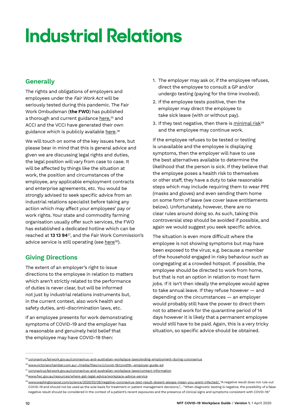#### **Generally**

The rights and obligations of employers and employees under the Fair Work Act will be seriously tested during this pandemic. The Fair Work Ombudsman (**the FWO**) has published a thorough and current guidance <u>here,<sup>35</sup> and</u> ACCI and the VCCI have generated their own guidance which is publicly available <u>here</u>.36

We will touch on some of the key issues here, but please bear in mind that this is general advice and given we are discussing legal rights and duties, the legal position will vary from case to case. It will be affected by things like the situation at work, the position and circumstances of the employee, any applicable employment contracts and enterprise agreements, etc. You would be strongly advised to seek specific advice from an industrial relations specialist before taking any action which may affect your employees' pay or work rights. Your state and commodity farming organisation usually offer such services, the FWO has established a dedicated hotline which can be reached at **13 13 94**37, and the Fair Work Commission's advice service is still operating (see [here](https://www.fwc.gov.au/resources/where-get-legal-advice/workplace-advice-service)<sup>38</sup>).

#### **Giving Directions**

The extent of an employer's right to issue directions to the employee in relation to matters which aren't strictly related to the performance of duties is never clear, but will be informed not just by industrial relations instruments but, in the current context, also work health and safety duties, anti-discrimination laws, etc.

If an employee presents for work demonstrating symptoms of COVID-19 and the employer has a reasonable and genuinely held belief that the employee may have COVID-19 then:

- 1. The employer may ask or, if the employee refuses, direct the employee to consult a GP and/or undergo testing (paying for the time involved).
- 2. If the employee tests positive, then the employer may direct the employee to take sick leave (with or without pay).
- 3. If they test negative, then there is minimal risk $39$ and the employee may continue work.

If the employee refuses to be tested or testing is unavailable and the employee is displaying symptoms, then the employer will have to use the best alternatives available to determine the likelihood that the person is sick. If they believe that the employee poses a health risk to themselves or other staff, they have a duty to take reasonable steps which may include requiring them to wear PPE (masks and gloves) and even sending them home on some form of leave (we cover leave entitlements below). Unfortunately, however, there are no clear rules around doing so. As such, taking this controversial step should be avoided if possible, and again we would suggest you seek specific advice.

The situation is even more difficult where the employee is not showing symptoms but may have been exposed to the virus; e.g. because a member of the household engaged in risky behaviour such as congregating at a crowded hotspot. If possible, the employee should be directed to work from home, but that is not an option in relation to most farm jobs. If it isn't then ideally the employee would agree to take annual leave. If they refuse however — and depending on the circumstances — an employer would probably still have the power to direct them not to attend work for the quarantine period of 14 days however it is likely that a permanent employee would still have to be paid. Again, this is a very tricky situation, so specific advice should be obtained.

<sup>&</sup>lt;sup>35</sup> [coronavirus.fairwork.gov.au/coronavirus-and-australian-workplace-laws/ending-employment-during-coronavirus](https://coronavirus.fairwork.gov.au/coronavirus-and-australian-workplace-laws/ending-employment-during-coronavirus)

<sup>36</sup> [www.victorianchamber.com.au/-/media/files/vcci/covid-19/covid19--employer-guide-ed](https://www.victorianchamber.com.au/-/media/files/vcci/covid-19/covid19--employer-guide-ed-1-130320.pdf?la=en&hash=325592D8E4EE36B1C0A3CE8DA3B44AC5D5EC10F2)

<sup>37</sup> [coronavirus.fairwork.gov.au/coronavirus-and-australian-workplace-laws/contact-information](https://coronavirus.fairwork.gov.au/coronavirus-and-australian-workplace-laws/contact-information)

<sup>38.</sup>[www.fwc.gov.au/resources/where-get-legal-advice/workplace-advice-service](https://www.fwc.gov.au/resources/where-get-legal-advice/workplace-advice-service)

<sup>&</sup>lt;sup>39</sup> [www.washingtonpost.com/science/2020/03/26/negative-coronavirus-test-result-doesnt-always-mean-you-arent-infected/](https://www.washingtonpost.com/science/2020/03/26/negative-coronavirus-test-result-doesnt-always-mean-you-arent-infected/): "A negative result does not rule out COVID-19 and should not be used as the sole basis for treatment or patient management decisions,"… "When diagnostic testing is negative, the possibility of a false negative result should be considered in the context of a patient's recent exposures and the presence of clinical signs and symptoms consistent with COVID-19."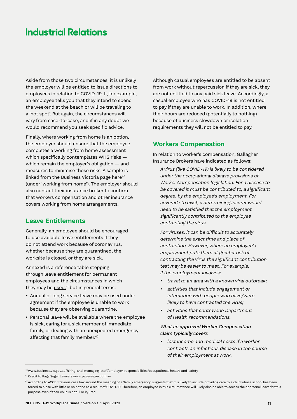Aside from those two circumstances, it is unlikely the employer will be entitled to issue directions to employees in relation to COVID-19. If, for example, an employee tells you that they intend to spend the weekend at the beach or will be traveling to a 'hot spot'. But again, the circumstances will vary from case-to-case, and if in any doubt we would recommend you seek specific advice.

Finally, where working from home is an option, the employer should ensure that the employee completes a working from home assessment which specifically contemplates WHS risks which remain the employer's obligation — and measures to minimise those risks. A sample is linked from the Business Victoria page [here](https://www.business.vic.gov.au/hiring-and-managing-staff/employer-responsibilities/occupational-health-and-safety)<sup>40</sup> (under 'working from home'). The employer should also contact their insurance broker to confirm that workers compensation and other insurance covers working from home arrangements.

#### **Leave Entitlements**

Generally, an employee should be encouraged to use available leave entitlements if they do not attend work because of coronavirus, whether because they are quarantined, the worksite is closed, or they are sick.

Annexed is a reference table stepping through leave entitlement for permanent employees and the circumstances in which they may be <u>used,</u><sup>41</sup> but in general terms:

- Annual or long service leave may be used under agreement if the employee is unable to work because they are observing quarantine.
- Personal leave will be available where the employee is sick, caring for a sick member of immediate family, or dealing with an unexpected emergency affecting that family member.42

Although casual employees are entitled to be absent from work without repercussion if they are sick, they are not entitled to any paid sick leave. Accordingly, a casual employee who has COVID-19 is not entitled to pay if they are unable to work. In addition, where their hours are reduced (potentially to nothing) because of business slowdown or isolation requirements they will not be entitled to pay.

#### **Workers Compensation**

In relation to worker's compensation, Gallagher Insurance Brokers have indicated as follows:

A virus (like COVID-19) is likely to be considered under the occupational disease provisions of Worker Compensation legislation. For a disease to be covered it must be contributed to, a significant degree, by the employee's employment. For coverage to exist, a determining insurer would need to be satisfied that the employment significantly contributed to the employee contracting the virus.

For viruses, it can be difficult to accurately determine the exact time and place of contraction. However, where an employee's employment puts them at greater risk of contracting the virus the significant contribution test may be easier to meet. For example, if the employment involves:

- travel to an area with a known viral outbreak;
- activities that include engagement or interaction with people who have/were likely to have contracted the virus;
- activities that contravene Department of Health recommendations.

#### What an approved Worker Compensation claim typically covers

• lost income and medical costs if a worker contracts an infectious disease in the course of their employment at work.

<sup>40</sup>[www.business.vic.gov.au/hiring-and-managing-staff/employer-responsibilities/occupational-health-and-safety](https://www.business.vic.gov.au/hiring-and-managing-staff/employer-responsibilities/occupational-health-and-safety)

<sup>41</sup> Credit to Page Seger Lawyers [www.pageseager.com.au](https://www.pageseager.com.au/)

<sup>&</sup>lt;sup>42</sup> According to ACCI: 'Previous case law around the meaning of a 'family emergency' suggests that it is likely to include providing care to a child whose school has been forced to close with little or no notice as a result of COVID-19. Therefore, an employee in this circumstance will likely also be able to access their personal leave for this purpose even if their child is not ill or injured.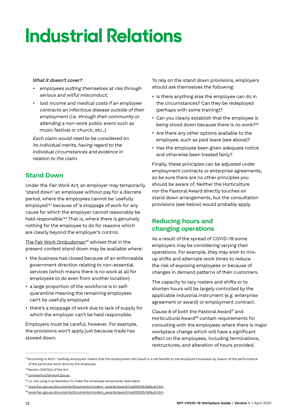#### What it doesn't cover?

- employees putting themselves at risk through serious and wilful misconduct;
- lost income and medical costs if an employee contracts an infectious disease outside of their employment (i.e. through their community or attending a non-work public event such as music festival or church, etc.,)

Each claim would need to be considered on its individual merits, having regard to the individual circumstances and evidence in relation to the claim.

#### **Stand Down**

Under the Fair Work Act, an employer may temporarily 'stand down' an employee without pay for a discrete period, where the employees cannot be 'usefully employed'43 because of 'a stoppage of work for any cause for which the employer cannot reasonably be held responsible.'44 That is, where there is genuinely nothing for the employee to do for reasons which are clearly beyond the employer's control.

The Fair Work Ombudsman<sup>45</sup> advises that in the present context stand down may be available where:

- the business has closed because of an enforceable government direction relating to non-essential services (which means there is no work at all for employees to do even from another location)
- a large proportion of the workforce is in selfquarantine meaning the remaining employees can't be usefully employed
- there's a stoppage of work due to lack of supply for which the employer can't be held responsible.

Employers must be careful, however. For example, the provisions won't apply just because trade has slowed down.

To rely on the stand down provisions, employers should ask themselves the following:

- Is there anything else the employee can do in the circumstances? Can they be redeployed (perhaps with some training)?
- Can you clearly establish that the employee is being stood down because there is no work?<sup>46</sup>
- Are there any other options available to the employee, such as paid leave (see above)?
- Has the employee been given adequate notice and otherwise been treated fairly?

Finally, these principles can be adjusted under employment contracts or enterprise agreements, so be sure there are no other principles you should be aware of. Neither the Horticulture nor the Pastoral Award directly touches on stand down arrangements, but the consultation provisions (see below) would probably apply.

#### **Reducing hours and changing operations**

As a result of the spread of COVID-19 some employers may be considering varying their operations. For example, they may wish to mixup shifts and alternate work times to reduce the risk of exposing employees or because of changes in demand patterns of their customers.

The capacity to vary rosters and shifts or to shorten hours will be largely controlled by the applicable industrial instrument (e.g. enterprise agreement or award) or employment contract.

Clause 8 of both the Pastoral Award<sup>47</sup> and Horticultural Award<sup>48</sup> contain requirements for consulting with the employees where there is major workplace change which will have a significant effect on the employees, including terminations, restructures, and alteration of hours provided.

<sup>&</sup>lt;sup>43</sup>According to ACCI: 'Usefully employed' means that the employment will result in a net benefit to the employer's business by reason of the performance of the particular work done by the employee.

<sup>44</sup>Section 524(1)(c) of the Act

<sup>45</sup> [coronavirus.fairwork.gov.au](https://coronavirus.fairwork.gov.au/)

<sup>&</sup>lt;sup>46</sup> i.e. not using it as backdoor to make the employee temporarily redundant.

<sup>47</sup> [www.fwc.gov.au/documents/documents/modern\\_awards/award/ma000035/default.htm](https://www.fwc.gov.au/documents/documents/modern_awards/award/ma000035/default.htm)

<sup>48</sup>[www.fwc.gov.au/documents/documents/modern\\_awards/award/ma000035/default.htm](http://www.fwc.gov.au/documents/documents/modern_awards/award/ma000035/default.htm)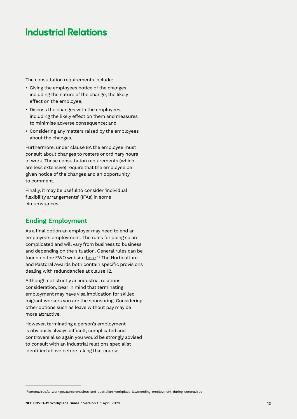The consultation requirements include:

- Giving the employees notice of the changes, including the nature of the change, the likely effect on the employee;
- Discuss the changes with the employees, including the likely effect on them and measures to minimise adverse consequence; and
- Considering any matters raised by the employees about the changes.

Furthermore, under clause 8A the employee must consult about changes to rosters or ordinary hours of work. Those consultation requirements (which are less extensive) require that the employee be given notice of the changes and an opportunity to comment.

Finally, it may be useful to consider 'individual flexibility arrangements' (IFAs) in some circumstances.

#### **Ending Employment**

As a final option an employer may need to end an employee's employment. The rules for doing so are complicated and will vary from business to business and depending on the situation. General rules can be found on the FWO website <u>here</u>.<sup>49</sup> The Horticulture and Pastoral Awards both contain specific provisions dealing with redundancies at clause 12.

Although not strictly an industrial relations consideration, bear in mind that terminating employment may have visa implication for skilled migrant workers you are the sponsoring. Considering other options such as leave without pay may be more attractive.

However, terminating a person's employment is obviously always difficult, complicated and controversial so again you would be strongly advised to consult with an industrial relations specialist identified above before taking that course.

<sup>49</sup> [coronavirus.fairwork.gov.au/coronavirus-and-australian-workplace-laws/ending-employment-during-coronavirus](https://coronavirus.fairwork.gov.au/coronavirus-and-australian-workplace-laws/ending-employment-during-coronavirus)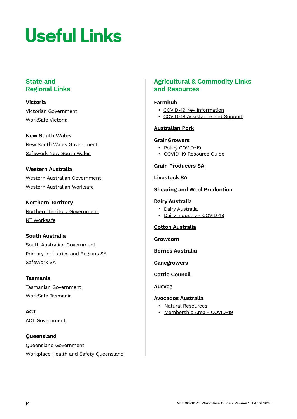# **Useful Links**

#### **State and Regional Links**

**Victoria** [Victorian Government](https://www.vic.gov.au/coronavirusresponse) [WorkSafe Victoria](https://www.worksafe.vic.gov.au/)

**New South Wales** [New South Wales Government](https://preview.nsw.gov.au/covid-19) [Safework New South Wales](https://www.safework.nsw.gov.au/)

#### **Western Australia**

[Western Australian Government](https://www.wa.gov.au/government/covid-19-coronavirus) [Western Australian Worksafe](https://www.commerce.wa.gov.au/worksafe)

**Northern Territory** [Northern Territory Government](https://coronavirus.nt.gov.au/) [NT Worksafe](https://worksafe.nt.gov.au/)

#### **South Australia**

[South Australian Government](https://www.sa.gov.au/covid-19) [Primary Industries and Regions SA](https://www.pir.sa.gov.au/emergency_management/covid-19_and_primary_industries) [SafeWork SA](https://www.safework.sa.gov.au/)

**Tasmania** [Tasmanian Government](https://www.coronavirus.tas.gov.au/) [WorkSafe Tasmania](https://worksafe.tas.gov.au/topics/Health-and-Safety/safety-alerts/coronavirus)

**ACT** [ACT Government](https://www.covid19.act.gov.au/)

**Queensland** [Queensland Government](https://www.qld.gov.au/health/conditions/health-alerts/coronavirus-covid-19) [Workplace Health and Safety Queensland](https://www.worksafe.qld.gov.au/)

#### **Agricultural & Commodity Links and Resources**

#### **[Farmhub](https://farmhub.org.au/covid-19-key-information/)**

- [COVID-19 Key Information](https://farmhub.org.au/covid-19-key-information/)
- [COVID-19 Assistance](https://farmhub.org.au/covid-19-assistance-and-support/) and Support

#### **[Australian Pork](http://australianpork.com.au/latest-news/coronavirus-disease-covid-19-and-your-workforce-guide/)**

#### **[GrainGrowers](https://www.graingrowers.com.au/policy/covid-19/)**

- Policy [COVID-](https://www.graingrowers.com.au/policy/covid-19/)19
- COVID-[19 Resource Guide](https://www.graingrowers.com.au/graingrowers-covid-19-resource-guide/))

#### **[Grain Producers SA](http://grainproducerssa.com.au/policy/industry-information/covid-19-measures/)**

#### **[Livestock SA](https://livestocksa.org.au/covid-19/)**

#### **[Shearing and Wool Production](https://mcusercontent.com/896f03706c74801ac0780caa2/files/280f3dac-2538-4e6e-8228-d883dd946e06/Shearing_Operations_Protocols_in_response_to_COVID19_FINAL.pdf)**

#### **Dairy Australia**

• [Dairy Australia](https://www.dairyaustralia.com.au/c19) • [Dairy Industry - COVID-19](https://www.dairyaustralia.com.au/about-dairy-australia/about-the-industry/dairy-industry-covid19-directory)

#### **[Cotton Australia](https://cottonaustralia.com.au/covid19)**

**[Growcom](https://www.growcom.com.au/coronavirus/)**

**[Berries Australia](https://berries.net.au/covid-19/)**

**[Canegrowers](http://www.canegrowers.com.au/page/media/latest-news/covid-19-sugarcane-industry-updates)**

#### **[Cattle Council](https://www.cattlecouncil.com.au/coronavirus)**

**[Ausveg](https://ausveg.com.au/home/coronavirus-resources/)**

#### **[Avocados Australia](https://www.avocado.org.au/public-articles/covid-19-national-resources/)**

- [Natural Resources](https://www.avocado.org.au/public-articles/covid-19-national-resources/)
- [Membership Area](https://www.avocado.org.au/membership/member-area/Regards) COVID-19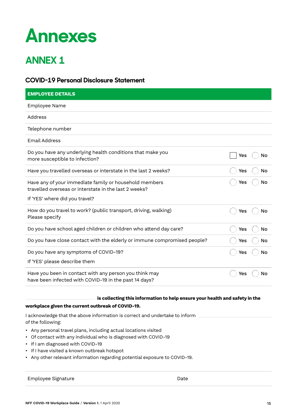### **Annexes**

### **ANNEX 1**

#### **COVID-19 Personal Disclosure Statement**

| <b>EMPLOYEE DETAILS</b>                                                                                                                           |     |    |
|---------------------------------------------------------------------------------------------------------------------------------------------------|-----|----|
| Employee Name                                                                                                                                     |     |    |
| Address                                                                                                                                           |     |    |
| Telephone number                                                                                                                                  |     |    |
| <b>Email Address</b>                                                                                                                              |     |    |
| Do you have any underlying health conditions that make you<br>more susceptible to infection?                                                      | Yes | No |
| Have you travelled overseas or interstate in the last 2 weeks?                                                                                    | Yes | No |
| Have any of your immediate family or household members<br>travelled overseas or interstate in the last 2 weeks?<br>If 'YES' where did you travel? | Yes | No |
| How do you travel to work? (public transport, driving, walking)<br>Please specify                                                                 | Yes | No |
| Do you have school aged children or children who attend day care?                                                                                 | Yes | No |
| Do you have close contact with the elderly or immune compromised people?                                                                          | Yes | No |
| Do you have any symptoms of COVID-19?                                                                                                             | Yes | No |
| If 'YES' please describe them                                                                                                                     |     |    |
| Have you been in contact with any person you think may<br>have been infected with COVID-19 in the past 14 days?                                   | Yes | No |

is collecting this information to help ensure your health and safety in the

#### **workplace given the current outbreak of COVID-19.**

I acknowledge that the above information is correct and undertake to inform of the following:

- Any personal travel plans, including actual locations visited
- Of contact with any individual who is diagnosed with COVID-19
- If I am diagnosed with COVID-19
- If I have visited a known outbreak hotspot
- Any other relevant information regarding potential exposure to COVID-19.

Employee Signature **Date**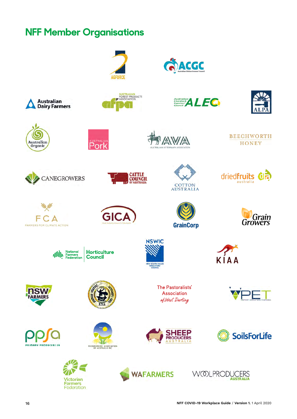### **NFF Member Organisations**